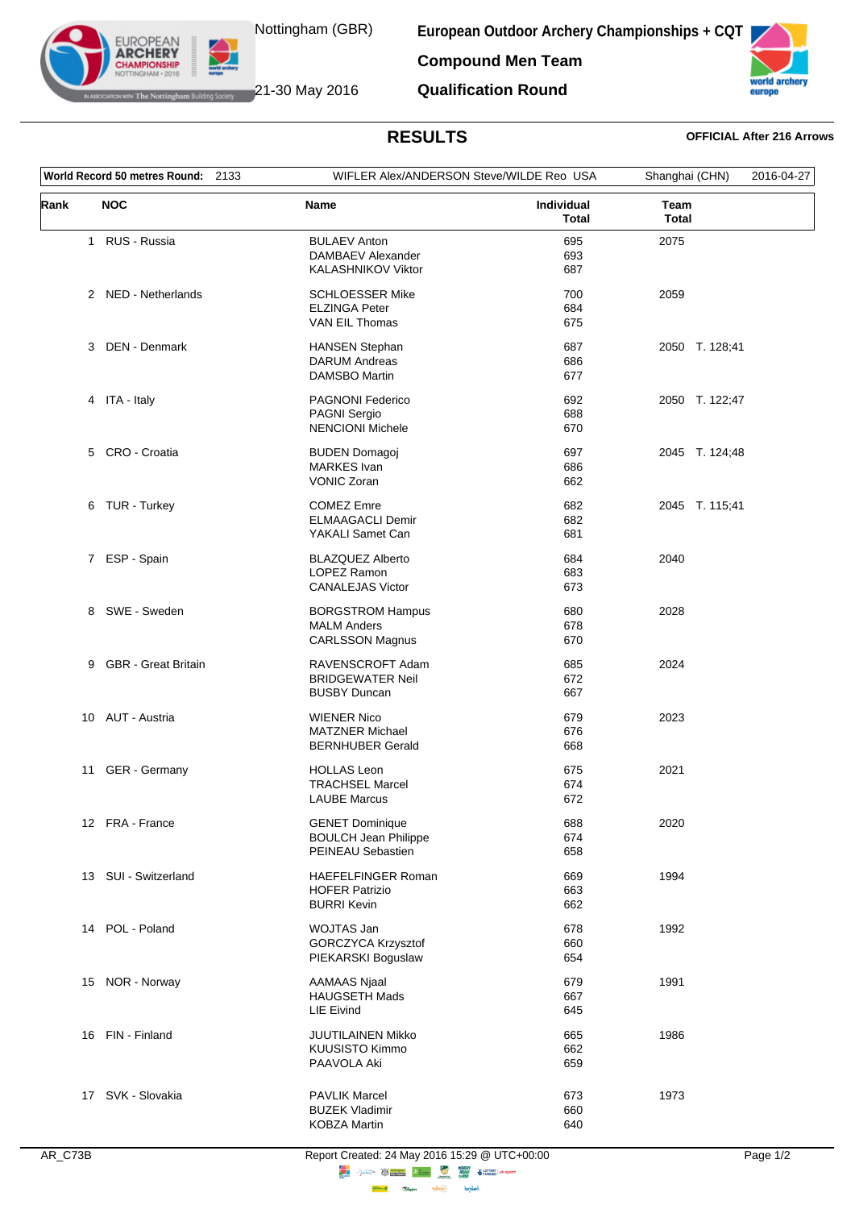

EUROPEAN **ARCHERY** 

**European Outdoor Archery Championships + CQT**

**Compound Men Team Qualification Round**



WHERE Notting ham Building Society **21-30 May 2016** 

## **RESULTS OFFICIAL After 216 Arrows**

| World Record 50 metres Round: 2133 |                       | WIFLER Alex/ANDERSON Steve/WILDE Reo USA       |                                             | Shanghai (CHN)<br>2016-04-27 |
|------------------------------------|-----------------------|------------------------------------------------|---------------------------------------------|------------------------------|
| Rank                               | <b>NOC</b>            | <b>Name</b>                                    | Individual<br>Team<br><b>Total</b><br>Total |                              |
|                                    | 1 RUS - Russia        | <b>BULAEV Anton</b><br>DAMBAEV Alexander       | 695<br>2075<br>693                          |                              |
|                                    |                       | <b>KALASHNIKOV Viktor</b>                      | 687                                         |                              |
|                                    | 2 NED - Netherlands   | <b>SCHLOESSER Mike</b>                         | 700<br>2059<br>684                          |                              |
|                                    |                       | <b>ELZINGA Peter</b><br>VAN EIL Thomas         | 675                                         |                              |
|                                    | 3 DEN - Denmark       | <b>HANSEN Stephan</b>                          | 687                                         | 2050 T. 128;41               |
|                                    |                       | <b>DARUM Andreas</b>                           | 686                                         |                              |
|                                    |                       | DAMSBO Martin                                  | 677                                         |                              |
|                                    | 4 ITA - Italy         | <b>PAGNONI Federico</b>                        | 692                                         | 2050 T. 122;47               |
|                                    |                       | <b>PAGNI Sergio</b><br><b>NENCIONI Michele</b> | 688<br>670                                  |                              |
|                                    |                       |                                                |                                             |                              |
|                                    | 5 CRO - Croatia       | <b>BUDEN Domagoj</b><br><b>MARKES Ivan</b>     | 697<br>686                                  | 2045 T. 124;48               |
|                                    |                       | <b>VONIC Zoran</b>                             | 662                                         |                              |
|                                    | 6 TUR - Turkey        | <b>COMEZ Emre</b>                              | 682                                         | 2045 T. 115;41               |
|                                    |                       | <b>ELMAAGACLI Demir</b>                        | 682                                         |                              |
|                                    |                       | YAKALI Samet Can                               | 681                                         |                              |
|                                    | 7 ESP - Spain         | <b>BLAZQUEZ Alberto</b>                        | 684<br>2040                                 |                              |
|                                    |                       | LOPEZ Ramon                                    | 683                                         |                              |
|                                    |                       | <b>CANALEJAS Victor</b>                        | 673                                         |                              |
|                                    | 8 SWE - Sweden        | <b>BORGSTROM Hampus</b>                        | 680<br>2028                                 |                              |
|                                    |                       | <b>MALM Anders</b><br><b>CARLSSON Magnus</b>   | 678<br>670                                  |                              |
|                                    |                       |                                                |                                             |                              |
|                                    | 9 GBR - Great Britain | RAVENSCROFT Adam                               | 685<br>2024                                 |                              |
|                                    |                       | <b>BRIDGEWATER Neil</b><br><b>BUSBY Duncan</b> | 672<br>667                                  |                              |
|                                    |                       |                                                |                                             |                              |
|                                    | 10 AUT - Austria      | <b>WIENER Nico</b><br><b>MATZNER Michael</b>   | 679<br>2023<br>676                          |                              |
|                                    |                       | <b>BERNHUBER Gerald</b>                        | 668                                         |                              |
|                                    | 11 GER - Germany      | <b>HOLLAS Leon</b>                             | 675<br>2021                                 |                              |
|                                    |                       | <b>TRACHSEL Marcel</b>                         | 674                                         |                              |
|                                    |                       | <b>LAUBE Marcus</b>                            | 672                                         |                              |
|                                    | 12 FRA - France       | <b>GENET Dominique</b>                         | 688<br>2020                                 |                              |
|                                    |                       | <b>BOULCH Jean Philippe</b>                    | 674                                         |                              |
|                                    |                       | PEINEAU Sebastien                              | 658                                         |                              |
|                                    | 13 SUI - Switzerland  | <b>HAEFELFINGER Roman</b>                      | 669<br>1994                                 |                              |
|                                    |                       | <b>HOFER Patrizio</b><br><b>BURRI Kevin</b>    | 663<br>662                                  |                              |
|                                    |                       |                                                |                                             |                              |
|                                    | 14 POL - Poland       | WOJTAS Jan                                     | 678<br>1992                                 |                              |
|                                    |                       | GORCZYCA Krzysztof<br>PIEKARSKI Boguslaw       | 660<br>654                                  |                              |
|                                    |                       |                                                |                                             |                              |
|                                    | 15 NOR - Norway       | AAMAAS Njaal<br><b>HAUGSETH Mads</b>           | 679<br>1991<br>667                          |                              |
|                                    |                       | <b>LIE Eivind</b>                              | 645                                         |                              |
|                                    | 16 FIN - Finland      | JUUTILAINEN Mikko                              | 665<br>1986                                 |                              |
|                                    |                       | KUUSISTO Kimmo                                 | 662                                         |                              |
|                                    |                       | PAAVOLA Aki                                    | 659                                         |                              |
|                                    |                       |                                                |                                             |                              |
|                                    | 17 SVK - Slovakia     | <b>PAVLIK Marcel</b><br><b>BUZEK Vladimir</b>  | 673<br>1973<br>660                          |                              |
|                                    |                       | <b>KOBZA Martin</b>                            | 640                                         |                              |